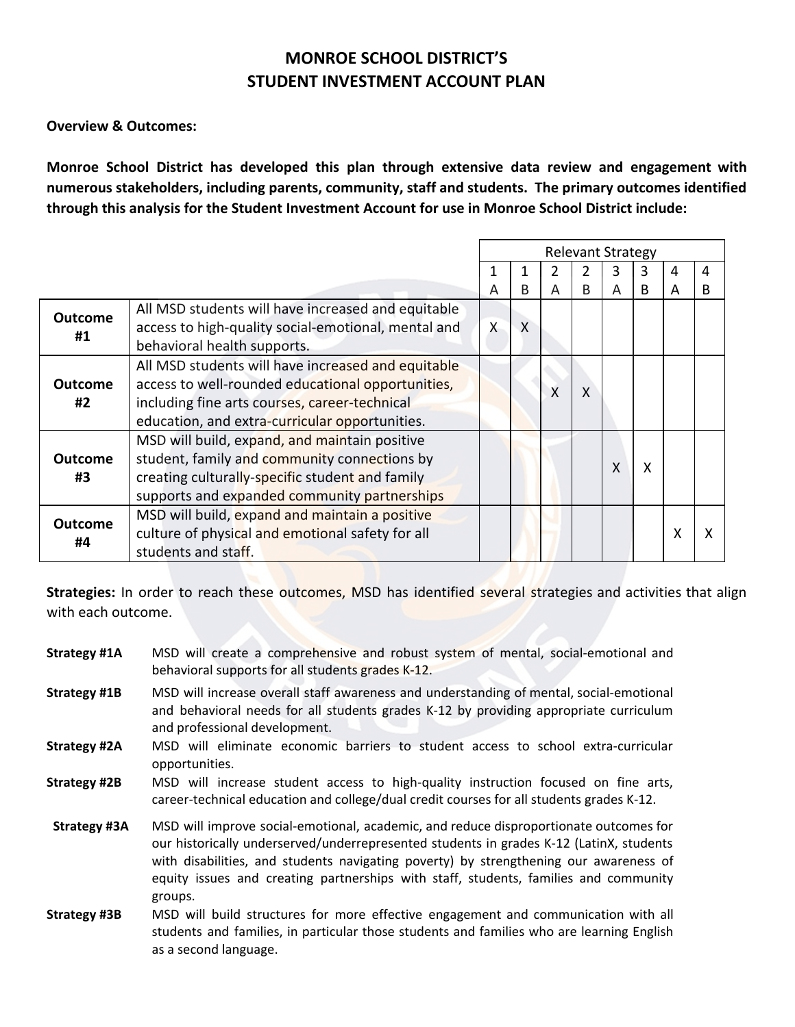## **MONROE SCHOOL DISTRICT'S STUDENT INVESTMENT ACCOUNT PLAN**

**Overview & Outcomes:**

**Monroe School District has developed this plan through extensive data review and engagement with numerous stakeholders, including parents, community, staff and students. The primary outcomes identified through this analysis for the Student Investment Account for use in Monroe School District include:**

|                |                                                     |          |              |   |              | <b>Relevant Strategy</b> |   |   |   |
|----------------|-----------------------------------------------------|----------|--------------|---|--------------|--------------------------|---|---|---|
|                |                                                     |          |              |   |              | 3                        | 3 | 4 | 4 |
|                |                                                     | Α        | B            | A | R            | А                        | B |   |   |
| <b>Outcome</b> | All MSD students will have increased and equitable  |          |              |   |              |                          |   |   |   |
| #1             | access to high-quality social-emotional, mental and | $\times$ | $\mathsf{X}$ |   |              |                          |   |   |   |
|                | behavioral health supports.                         |          |              |   |              |                          |   |   |   |
|                | All MSD students will have increased and equitable  |          |              |   |              |                          |   |   |   |
| <b>Outcome</b> | access to well-rounded educational opportunities,   |          |              | X | $\mathsf{x}$ |                          |   |   |   |
| #2             | including fine arts courses, career-technical       |          |              |   |              |                          |   |   |   |
|                | education, and extra-curricular opportunities.      |          |              |   |              |                          |   |   |   |
|                | MSD will build, expand, and maintain positive       |          |              |   |              |                          |   |   |   |
| <b>Outcome</b> | student, family and community connections by        |          |              |   |              | Χ                        | X |   |   |
| #3             | creating culturally-specific student and family     |          |              |   |              |                          |   |   |   |
|                | supports and expanded community partnerships        |          |              |   |              |                          |   |   |   |
| <b>Outcome</b> | MSD will build, expand and maintain a positive      |          |              |   |              |                          |   |   |   |
| #4             | culture of physical and emotional safety for all    |          |              |   |              |                          |   | χ |   |
|                | students and staff.                                 |          |              |   |              |                          |   |   |   |

**Strategies:** In order to reach these outcomes, MSD has identified several strategies and activities that align with each outcome.

**Strategy #1A** MSD will create a comprehensive and robust system of mental, social-emotional and behavioral supports for all students grades K-12. **Strategy #1B** MSD will increase overall staff awareness and understanding of mental, social-emotional and behavioral needs for all students grades K-12 by providing appropriate curriculum and professional development. **Strategy #2A** MSD will eliminate economic barriers to student access to school extra-curricular opportunities. **Strategy #2B** MSD will increase student access to high-quality instruction focused on fine arts, career-technical education and college/dual credit courses for all students grades K-12.  **Strategy #3A** MSD will improve social-emotional, academic, and reduce disproportionate outcomes for our historically underserved/underrepresented students in grades K-12 (LatinX, students with disabilities, and students navigating poverty) by strengthening our awareness of equity issues and creating partnerships with staff, students, families and community groups. **Strategy #3B** MSD will build structures for more effective engagement and communication with all students and families, in particular those students and families who are learning English as a second language.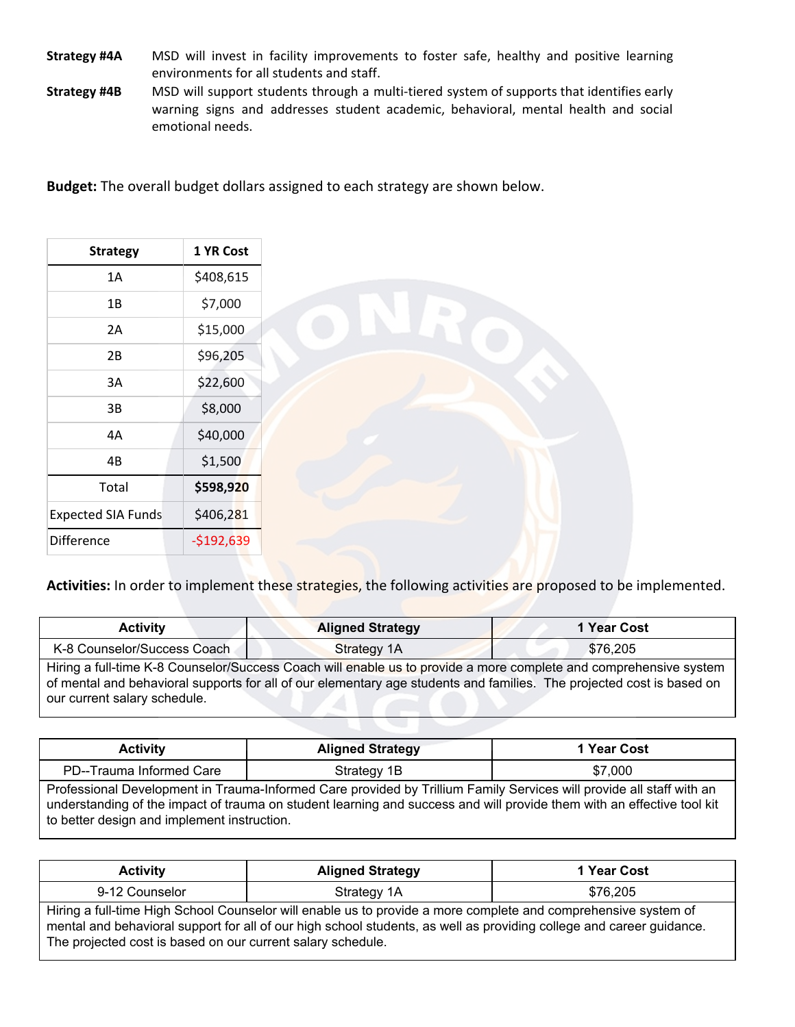- **Strategy #4A** MSD will invest in facility improvements to foster safe, healthy and positive learning environments for all students and staff.
- **Strategy #4B** MSD will support students through a multi-tiered system of supports that identifies early warning signs and addresses student academic, behavioral, mental health and social emotional needs.

**Budget:** The overall budget dollars assigned to each strategy are shown below.

| <b>Strategy</b>           | 1 YR Cost   |
|---------------------------|-------------|
| 1A                        | \$408,615   |
| 1B                        | \$7,000     |
| 2A                        | \$15,000    |
| 2B                        | \$96,205    |
| 3A                        | \$22,600    |
| 3B                        | \$8,000     |
| 4A                        | \$40,000    |
| 4B                        | \$1,500     |
| Total                     | \$598,920   |
| <b>Expected SIA Funds</b> | \$406,281   |
| <b>Difference</b>         | $-$192,639$ |

**Activities:** In order to implement these strategies, the following activities are proposed to be implemented.

| <b>Activity</b>                                                                                                                                                                                                                                                            | <b>Aligned Strategy</b> | 1 Year Cost |  |
|----------------------------------------------------------------------------------------------------------------------------------------------------------------------------------------------------------------------------------------------------------------------------|-------------------------|-------------|--|
| K-8 Counselor/Success Coach                                                                                                                                                                                                                                                | Strategy 1A             | \$76.205    |  |
| Hiring a full-time K-8 Counselor/Success Coach will enable us to provide a more complete and comprehensive system<br>of mental and behavioral supports for all of our elementary age students and families. The projected cost is based on<br>our current salary schedule. |                         |             |  |

| <b>Activity</b>                                                                                                                                                                                                                                                                               | <b>Aligned Strategy</b> | 1 Year Cost |  |  |
|-----------------------------------------------------------------------------------------------------------------------------------------------------------------------------------------------------------------------------------------------------------------------------------------------|-------------------------|-------------|--|--|
| PD--Trauma Informed Care<br>Strategy 1B<br>\$7,000                                                                                                                                                                                                                                            |                         |             |  |  |
| Professional Development in Trauma-Informed Care provided by Trillium Family Services will provide all staff with an<br>understanding of the impact of trauma on student learning and success and will provide them with an effective tool kit<br>to better design and implement instruction. |                         |             |  |  |

| <b>Activity</b> | <b>Aligned Strategy</b>                                                                                                                                                                                                                                                                               | 1 Year Cost |  |  |  |
|-----------------|-------------------------------------------------------------------------------------------------------------------------------------------------------------------------------------------------------------------------------------------------------------------------------------------------------|-------------|--|--|--|
| 9-12 Counselor  | Strategy 1A                                                                                                                                                                                                                                                                                           | \$76,205    |  |  |  |
|                 | Hiring a full-time High School Counselor will enable us to provide a more complete and comprehensive system of<br>mental and behavioral support for all of our high school students, as well as providing college and career guidance.<br>The projected cost is based on our current salary schedule. |             |  |  |  |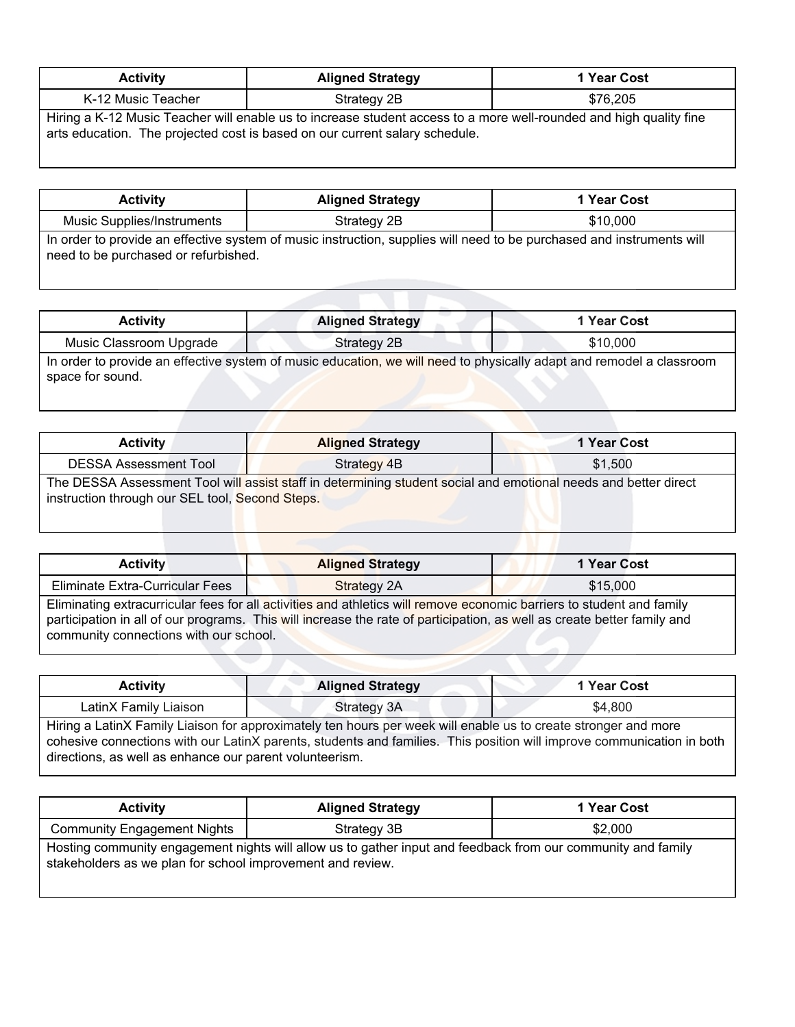| <b>Activity</b>                                                                                                                                                                                   | <b>Aligned Strategy</b> | 1 Year Cost |  |  |
|---------------------------------------------------------------------------------------------------------------------------------------------------------------------------------------------------|-------------------------|-------------|--|--|
| K-12 Music Teacher                                                                                                                                                                                | Strategy 2B             | \$76.205    |  |  |
| Hiring a K-12 Music Teacher will enable us to increase student access to a more well-rounded and high quality fine<br>arts education. The projected cost is based on our current salary schedule. |                         |             |  |  |

| <b>Activity</b>                                                                                                       | <b>Aligned Strategy</b> | 1 Year Cost |  |
|-----------------------------------------------------------------------------------------------------------------------|-------------------------|-------------|--|
| Music Supplies/Instruments                                                                                            | Strategy 2B             | \$10,000    |  |
| In order to provide an effective system of music instruction, supplies will need to be purchased and instruments will |                         |             |  |

In order to provide an effective system of music instruction, supplies will need to be purchased and instruments will need to be purchased or refurbished.

| <b>Activity</b>                                                                                                                          | <b>Aligned Strategy</b> | 1 Year Cost |  |  |
|------------------------------------------------------------------------------------------------------------------------------------------|-------------------------|-------------|--|--|
| Music Classroom Upgrade                                                                                                                  | Strategy 2B             | \$10,000    |  |  |
| In order to provide an effective system of music education, we will need to physically adapt and remodel a classroom<br>space for sound. |                         |             |  |  |

| Activity                                        | <b>Aligned Strategy</b>                                                                                         | 1 Year Cost |
|-------------------------------------------------|-----------------------------------------------------------------------------------------------------------------|-------------|
| <b>DESSA Assessment Tool</b>                    | Strategy 4B                                                                                                     | \$1.500     |
| instruction through our SEL tool, Second Steps. | The DESSA Assessment Tool will assist staff in determining student social and emotional needs and better direct |             |

| <b>Activity</b>                        | <b>Aligned Strategy</b>                                                                                                                                                                                                                          | 1 Year Cost |
|----------------------------------------|--------------------------------------------------------------------------------------------------------------------------------------------------------------------------------------------------------------------------------------------------|-------------|
| Eliminate Extra-Curricular Fees        | <b>Strategy 2A</b>                                                                                                                                                                                                                               | \$15,000    |
| community connections with our school. | Eliminating extracurricular fees for all activities and athletics will remove economic barriers to student and family<br>participation in all of our programs. This will increase the rate of participation, as well as create better family and |             |

| <b>Activity</b>                                         | <b>Aligned Strategy</b>                                                                                        | 1 Year Cost                                                                                                           |  |  |
|---------------------------------------------------------|----------------------------------------------------------------------------------------------------------------|-----------------------------------------------------------------------------------------------------------------------|--|--|
| Strategy 3A<br>\$4,800<br>LatinX Family Liaison         |                                                                                                                |                                                                                                                       |  |  |
| directions, as well as enhance our parent volunteerism. | Hiring a LatinX Family Liaison for approximately ten hours per week will enable us to create stronger and more | cohesive connections with our LatinX parents, students and families. This position will improve communication in both |  |  |

| <b>Activity</b>                                            | <b>Aligned Strategy</b>                                                                                      | 1 Year Cost |
|------------------------------------------------------------|--------------------------------------------------------------------------------------------------------------|-------------|
| <b>Community Engagement Nights</b>                         | Strategy 3B                                                                                                  | \$2.000     |
| stakeholders as we plan for school improvement and review. | Hosting community engagement nights will allow us to gather input and feedback from our community and family |             |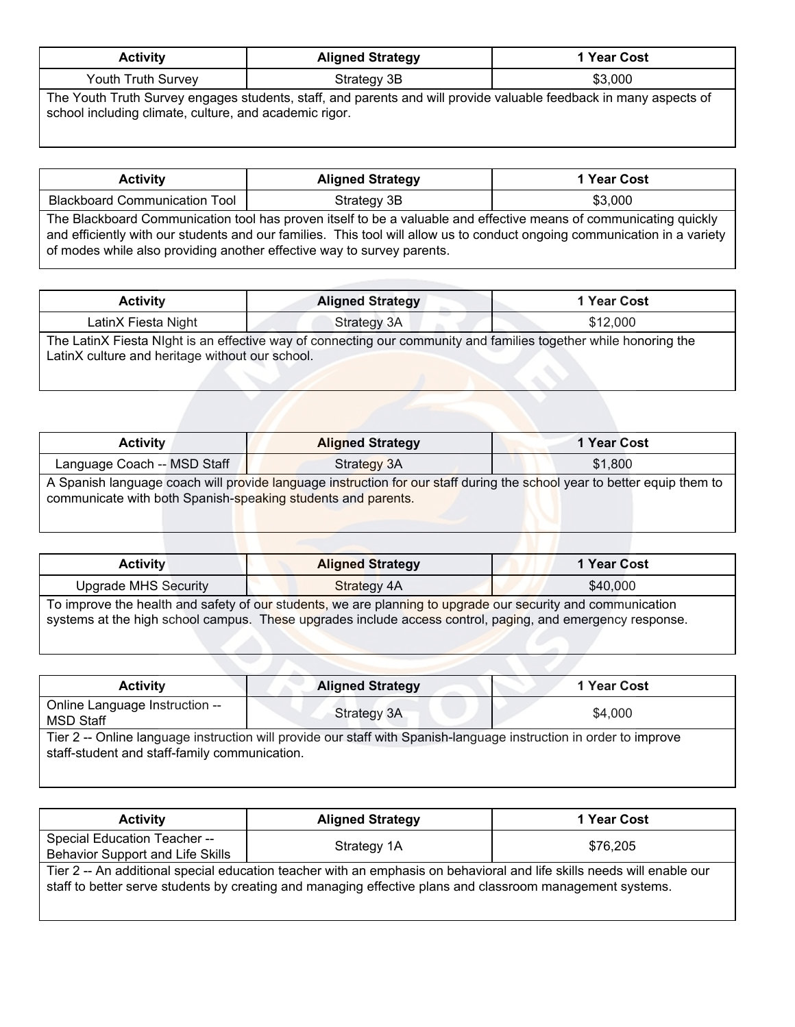| <b>Activity</b>    | <b>Aligned Strategy</b> | 1 Year Cost |
|--------------------|-------------------------|-------------|
| Youth Truth Survey | Strategy 3B             | \$3,000     |
|                    | _________               |             |

The Youth Truth Survey engages students, staff, and parents and will provide valuable feedback in many aspects of school including climate, culture, and academic rigor.

| <b>Activity</b>                      | <b>Aligned Strategy</b>                                                                                                                                                                                                                                                                                                  | 1 Year Cost |  |
|--------------------------------------|--------------------------------------------------------------------------------------------------------------------------------------------------------------------------------------------------------------------------------------------------------------------------------------------------------------------------|-------------|--|
| <b>Blackboard Communication Tool</b> | Strategy 3B                                                                                                                                                                                                                                                                                                              | \$3,000     |  |
|                                      | The Blackboard Communication tool has proven itself to be a valuable and effective means of communicating quickly<br>and efficiently with our students and our families. This tool will allow us to conduct ongoing communication in a variety<br>of modes while also providing another effective way to survey parents. |             |  |

| <b>Activity</b>                                 | <b>Aligned Strategy</b>                                                                                          | 1 Year Cost |
|-------------------------------------------------|------------------------------------------------------------------------------------------------------------------|-------------|
| LatinX Fiesta Night                             | Strategy 3A                                                                                                      | \$12,000    |
| LatinX culture and heritage without our school. | The LatinX Fiesta Night is an effective way of connecting our community and families together while honoring the |             |

| <b>Activity</b>                                                                                                                                                                         | <b>Aligned Strategy</b> | 1 Year Cost |
|-----------------------------------------------------------------------------------------------------------------------------------------------------------------------------------------|-------------------------|-------------|
| Language Coach -- MSD Staff                                                                                                                                                             | Strategy 3A             | \$1,800     |
| A Spanish language coach will provide language instruction for our staff during the school year to better equip them to<br>communicate with both Spanish-speaking students and parents. |                         |             |

| <b>Activity</b>                                                                                                                                                                                                          | <b>Aligned Strategy</b> | 1 Year Cost |
|--------------------------------------------------------------------------------------------------------------------------------------------------------------------------------------------------------------------------|-------------------------|-------------|
| <b>Upgrade MHS Security</b>                                                                                                                                                                                              | Strategy 4A             | \$40,000    |
| To improve the health and safety of our students, we are planning to upgrade our security and communication<br>systems at the high school campus. These upgrades include access control, paging, and emergency response. |                         |             |

| <b>Activity</b>                                    | <b>Aligned Strategy</b>                                                                                            | 1 Year Cost |
|----------------------------------------------------|--------------------------------------------------------------------------------------------------------------------|-------------|
| Online Language Instruction --<br><b>MSD Staff</b> | Strategy 3A                                                                                                        | \$4,000     |
| staff-student and staff-family communication.      | Tier 2 -- Online language instruction will provide our staff with Spanish-language instruction in order to improve |             |

| <b>Activity</b>                                                                                                                                                                                                                     | <b>Aligned Strategy</b> | 1 Year Cost |
|-------------------------------------------------------------------------------------------------------------------------------------------------------------------------------------------------------------------------------------|-------------------------|-------------|
| Special Education Teacher --<br>Behavior Support and Life Skills                                                                                                                                                                    | Strategy 1A             | \$76,205    |
| Tier 2 -- An additional special education teacher with an emphasis on behavioral and life skills needs will enable our<br>staff to better serve students by creating and managing effective plans and classroom management systems. |                         |             |